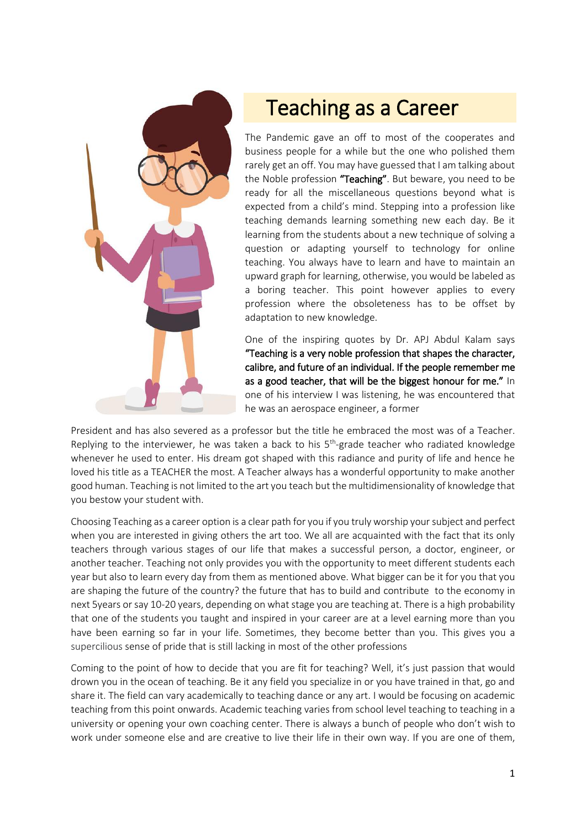

## Teaching as a Career

The Pandemic gave an off to most of the cooperates and business people for a while but the one who polished them rarely get an off. You may have guessed that I am talking about the Noble profession "Teaching". But beware, you need to be ready for all the miscellaneous questions beyond what is expected from a child's mind. Stepping into a profession like teaching demands learning something new each day. Be it learning from the students about a new technique of solving a question or adapting yourself to technology for online teaching. You always have to learn and have to maintain an upward graph for learning, otherwise, you would be labeled as a boring teacher. This point however applies to every profession where the obsoleteness has to be offset by adaptation to new knowledge.

One of the inspiring quotes by Dr. APJ Abdul Kalam says "Teaching is a very noble profession that shapes the character, calibre, and future of an individual. If the people remember me as a good teacher, that will be the biggest honour for me." In one of his interview I was listening, he was encountered that he was an aerospace engineer, a former

President and has also severed as a professor but the title he embraced the most was of a Teacher. Replying to the interviewer, he was taken a back to his 5<sup>th</sup>-grade teacher who radiated knowledge whenever he used to enter. His dream got shaped with this radiance and purity of life and hence he loved his title as a TEACHER the most. A Teacher always has a wonderful opportunity to make another good human. Teaching is not limited to the art you teach but the multidimensionality of knowledge that you bestow your student with.

Choosing Teaching as a career option is a clear path for you if you truly worship your subject and perfect when you are interested in giving others the art too. We all are acquainted with the fact that its only teachers through various stages of our life that makes a successful person, a doctor, engineer, or another teacher. Teaching not only provides you with the opportunity to meet different students each year but also to learn every day from them as mentioned above. What bigger can be it for you that you are shaping the future of the country? the future that has to build and contribute to the economy in next 5years or say 10-20 years, depending on what stage you are teaching at. There is a high probability that one of the students you taught and inspired in your career are at a level earning more than you have been earning so far in your life. Sometimes, they become better than you. This gives you a supercilious sense of pride that is still lacking in most of the other professions

Coming to the point of how to decide that you are fit for teaching? Well, it's just passion that would drown you in the ocean of teaching. Be it any field you specialize in or you have trained in that, go and share it. The field can vary academically to teaching dance or any art. I would be focusing on academic teaching from this point onwards. Academic teaching varies from school level teaching to teaching in a university or opening your own coaching center. There is always a bunch of people who don't wish to work under someone else and are creative to live their life in their own way. If you are one of them,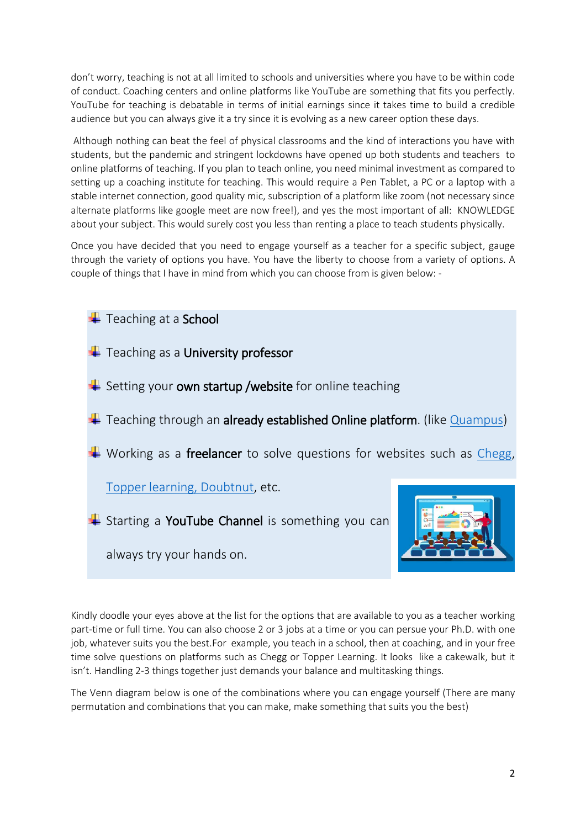don't worry, teaching is not at all limited to schools and universities where you have to be within code of conduct. Coaching centers and online platforms like YouTube are something that fits you perfectly. YouTube for teaching is debatable in terms of initial earnings since it takes time to build a credible audience but you can always give it a try since it is evolving as a new career option these days.

Although nothing can beat the feel of physical classrooms and the kind of interactions you have with students, but the pandemic and stringent lockdowns have opened up both students and teachers to online platforms of teaching. If you plan to teach online, you need minimal investment as compared to setting up a coaching institute for teaching. This would require a Pen Tablet, a PC or a laptop with a stable internet connection, good quality mic, subscription of a platform like zoom (not necessary since alternate platforms like google meet are now free!), and yes the most important of all: KNOWLEDGE about your subject. This would surely cost you less than renting a place to teach students physically.

Once you have decided that you need to engage yourself as a teacher for a specific subject, gauge through the variety of options you have. You have the liberty to choose from a variety of options. A couple of things that I have in mind from which you can choose from is given below: -



Kindly doodle your eyes above at the list for the options that are available to you as a teacher working part-time or full time. You can also choose 2 or 3 jobs at a time or you can persue your Ph.D. with one job, whatever suits you the best.For example, you teach in a school, then at coaching, and in your free time solve questions on platforms such as Chegg or Topper Learning. It looks like a cakewalk, but it isn't. Handling 2-3 things together just demands your balance and multitasking things.

The Venn diagram below is one of the combinations where you can engage yourself (There are many permutation and combinations that you can make, make something that suits you the best)